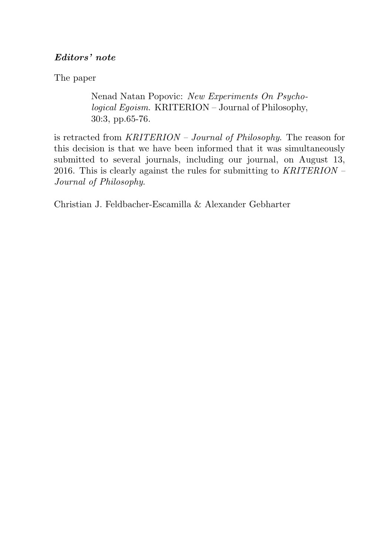# <span id="page-0-0"></span>Editors' note

The paper

Nenad Natan Popovic: New Experiments On Psychological Egoism. KRITERION – Journal of Philosophy, 30:3, pp.65-76.

is retracted from KRITERION – Journal of Philosophy. The reason for this decision is that we have been informed that it was simultaneously submitted to several journals, including our journal, on August 13, 2016. This is clearly against the rules for submitting to  $KRITERION -$ Journal of Philosophy.

Christian J. Feldbacher-Escamilla & Alexander Gebharter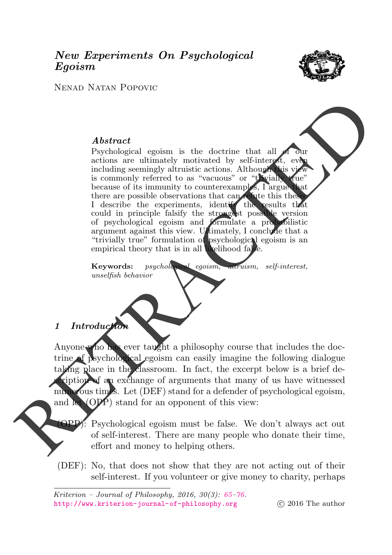# New Experiments On Psychological Egoism



Nenad Natan Popovic

### Abstract

Psychological egoism is the doctrine that all actions are ultimately motivated by self-interest, eve including seemingly altruistic actions. Although this view is commonly referred to as "vacuous" or "trivially true" because of its immunity to counterexamples, I argue there are possible observations that can refute this thesis.<br>I describe the experiments, identify the results that I describe the experiments, identify the could in principle falsify the strongest possible version of psychological egoism and formulate a probabilistic argument against this view. Ultimately, I conclude that a "trivially true" formulation of psychological egoism is an empirical theory that is in all likelihood false.  $\begin{tabular}{|c|c|c|c|} \hline \multicolumn{1}{|c|}{\textbf{Abstract}} & \multicolumn{1}{|c|}{\textbf{Abstract}} & \multicolumn{1}{|c|}{\textbf{Abstract}} & \multicolumn{1}{|c|}{\textbf{Cov}} \\ \hline \multicolumn{1}{|c|}{\textbf{Cov}} & \multicolumn{1}{|c|}{\textbf{Cov}} & \multicolumn{1}{|c|}{\textbf{Cov}} & \multicolumn{1}{|c|}{\textbf{Cov}} & \multicolumn{1}{|c|}{\textbf{Cov}} & \multicolumn{1}{|c|}{\textbf{Cov}} \\ \hline \mult$ 

Keywords: psychological egoism, altruism, self-interest, unselfish behavior

# 1 Introduction

Anyone who has ever taught a philosophy course that includes the docsychological egoism can easily imagine the following dialogue taking place in the classroom. In fact, the excerpt below is a brief deription of an exchange of arguments that many of us have witnessed numerous times. Let (DEF) stand for a defender of psychological egoism, and let  $(QPP)$  stand for an opponent of this view:

> $\ddot{\text{S}}$ : Psychological egoism must be false. We don't always act out of self-interest. There are many people who donate their time, effort and money to helping others.

(DEF): No, that does not show that they are not acting out of their self-interest. If you volunteer or give money to charity, perhaps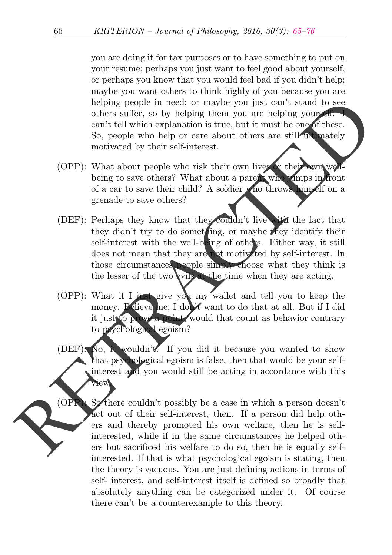you are doing it for tax purposes or to have something to put on your resume; perhaps you just want to feel good about yourself, or perhaps you know that you would feel bad if you didn't help; maybe you want others to think highly of you because you are helping people in need; or maybe you just can't stand to see others suffer, so by helping them you are helping yourself. can't tell which explanation is true, but it must be one of these. So, people who help or care about others are still ultimately motivated by their self-interest.

- (OPP): What about people who risk their own lives or their own wellbeing to save others? What about a parent who jumps in front of a car to save their child? A soldier who throws himself on a grenade to save others?
- (DEF): Perhaps they know that they couldn't live with the fact that they didn't try to do sometling, or maybe they identify their self-interest with the well-being of others. Either way, it still does not mean that they are not motivated by self-interest. In those circumstances people simply choose what they think is the lesser of the two evils at the time when they are acting. belong people in need; or may<br>be contristed to see offer a complement of the scheme of the specified whole people who belong the<br>scheme of the second term is the proper whole people who is the metallical<br>specified when th
	- (OPP): What if I just give you my wallet and tell you to keep the money. Believe me, I don't want to do that at all. But if I did it just to prove a point, would that count as behavior contrary to psychological egoism?
	- (DEF): No, it wouldn't. If you did it because you wanted to show that psychological egoism is false, then that would be your selfinterest and you would still be acting in accordance with this  $\lambda$ iew.

 $(OPR)$ : Sothere couldn't possibly be a case in which a person doesn't act out of their self-interest, then. If a person did help others and thereby promoted his own welfare, then he is selfinterested, while if in the same circumstances he helped others but sacrificed his welfare to do so, then he is equally selfinterested. If that is what psychological egoism is stating, then the theory is vacuous. You are just defining actions in terms of self- interest, and self-interest itself is defined so broadly that absolutely anything can be categorized under it. Of course there can't be a counterexample to this theory.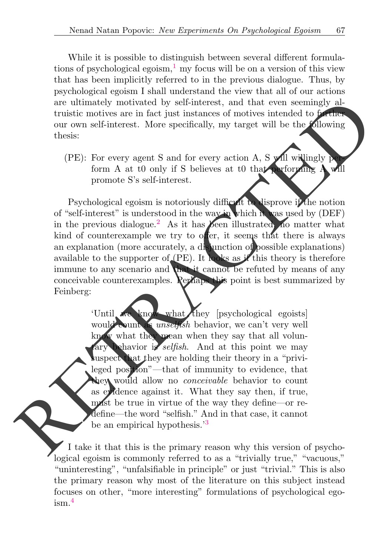<span id="page-3-0"></span>While it is possible to distinguish between several different formulations of psychological egoism, $\frac{1}{1}$  $\frac{1}{1}$  $\frac{1}{1}$  my focus will be on a version of this view that has been implicitly referred to in the previous dialogue. Thus, by psychological egoism I shall understand the view that all of our actions are ultimately motivated by self-interest, and that even seemingly altruistic motives are in fact just instances of motives intended to further our own self-interest. More specifically, my target will be the following thesis:

<span id="page-3-1"></span> $(PE)$ : For every agent S and for every action A, S will willingly perform A at t0 only if S believes at t0 that performing  $A$  will promote S's self-interest.

Psychological egoism is notoriously difficult to disprove if the notion of "self-interest" is understood in the way in which it was used by (DEF) in the previous dialogue.<sup>2</sup> As it has **been** illustrated, no matter what kind of counterexample we try to offer, it seems that there is always an explanation (more accurately, a disjunction of possible explanations) available to the supporter of (PE). It looks as if this theory is therefore immune to any scenario and that it cannot be refuted by means of any conceivable counterexamples. Perhaps this point is best summarized by Feinberg: are ultimately motivated by self-interest, and that vears emissions of motives intended to the time our own self-interest. More specifically, my target will be the Mowing the thesis:<br>
(PF): For every agent S and for every

'Until we know what they [psychological egoists] would count as *unself* sh behavior, we can't very well know what they mean when they say that all volunary behavior is selfish. And at this point we may suspect that they are holding their theory in a "privileged position"—that of immunity to evidence, that they would allow no *conceivable* behavior to count as evidence against it. What they say then, if true, must be true in virtue of the way they define—or redefine—the word "selfish." And in that case, it cannot be an empirical hypothesis.<sup>3</sup>

<span id="page-3-3"></span><span id="page-3-2"></span>I take it that this is the primary reason why this version of psychological egoism is commonly referred to as a "trivially true," "vacuous," "uninteresting", "unfalsifiable in principle" or just "trivial." This is also the primary reason why most of the literature on this subject instead focuses on other, "more interesting" formulations of psychological egoism.[4](#page-10-3)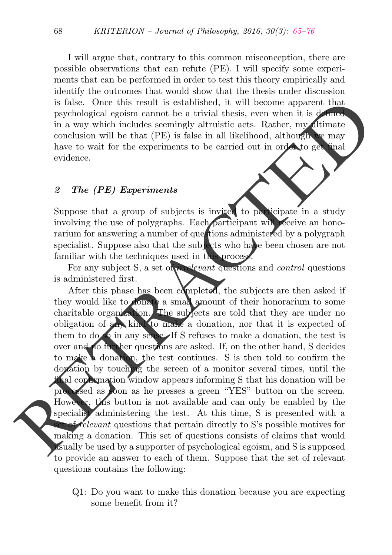I will argue that, contrary to this common misconception, there are possible observations that can refute (PE). I will specify some experiments that can be performed in order to test this theory empirically and identify the outcomes that would show that the thesis under discussion is false. Once this result is established, it will become apparent that psychological egoism cannot be a trivial thesis, even when it is defined in a way which includes seemingly altruistic acts. Rather,  $mv$  ditimate conclusion will be that (PE) is false in all likelihood, although we may have to wait for the experiments to be carried out in order to get final evidence.

#### 2 The (PE) Experiments

Suppose that a group of subjects is invited to participate in a study involving the use of polygraphs. Each participant will receive an honorarium for answering a number of questions administered by a polygraph specialist. Suppose also that the subjects who have been chosen are not familiar with the techniques used in this process.

For any subject S, a set of *irrelevant* questions and *control* questions is administered first.

After this phase has been completed, the subjects are then asked if they would like to donate a small amount of their honorarium to some charitable organization. The subjects are told that they are under no obligation of any kind to make a donation, nor that it is expected of them to do so in any sense. If S refuses to make a donation, the test is over and no further questions are asked. If, on the other hand, S decides to make a donation, the test continues. S is then told to confirm the donation by touching the screen of a monitor several times, until the **final confirmation window appears informing S that his donation will be** processed as soon as he presses a green "YES" button on the screen. However, this button is not available and can only be enabled by the specialist administering the test. At this time, S is presented with a of relevant questions that pertain directly to S's possible motives for making a donation. This set of questions consists of claims that would usually be used by a supporter of psychological egoism, and S is supposed to provide an answer to each of them. Suppose that the set of relevant questions contains the following: is false. Once this result is established, it will be<br>come apparent that payiological egoism cannot be a trivial thesis, even when it is<br>in a way which includes seemingly altruistic acts. Rather, my dimate<br>conclusion will

> Q1: Do you want to make this donation because you are expecting some benefit from it?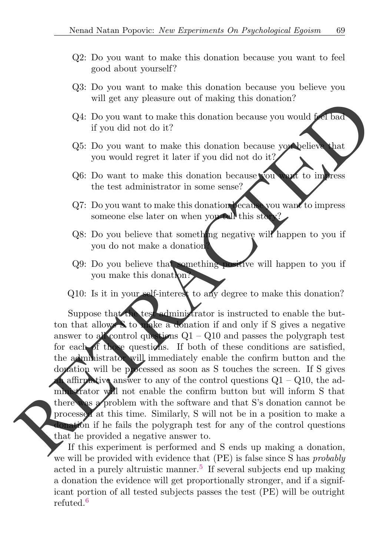- Q2: Do you want to make this donation because you want to feel good about yourself?
- Q3: Do you want to make this donation because you believe you will get any pleasure out of making this donation?
- Q4: Do you want to make this donation because you would feel bad if you did not do it?
- Q5: Do you want to make this donation because you believe that you would regret it later if you did not do it?
- Q6: Do want to make this donation because you want to impress the test administrator in some sense?
- Q7: Do you want to make this donation because you want to impress someone else later on when you tell this stor
- Q8: Do you believe that something negative will happen to you if you do not make a donation?
- Q9: Do you believe that something positive will happen to you if you make this donation?
- Q10: Is it in your self-interest to any degree to make this donation?

Suppose that the test administrator is instructed to enable the button that allows S to make a donation if and only if S gives a negative answer to all control questions  $Q1 - Q10$  and passes the polygraph test for each of those questions. If both of these conditions are satisfied, the administrator will immediately enable the confirm button and the donation will be processed as soon as S touches the screen. If S gives **A** affirmative answer to any of the control questions  $Q1 - Q10$ , the administrator will not enable the confirm button but will inform S that there was a problem with the software and that S's donation cannot be processed at this time. Similarly, S will not be in a position to make a donation if he fails the polygraph test for any of the control questions that he provided a negative answer to. will get any pleasure out of making this domation?<br>
(24: Do you want to make this donation because you would per biad<br>
if you did not do it?<br>
(35: Do you want to make this donation because you would regress<br>
(26: Do you w

<span id="page-5-1"></span><span id="page-5-0"></span>If this experiment is performed and S ends up making a donation, we will be provided with evidence that (PE) is false since S has probably acted in a purely altruistic manner.<sup>[5](#page-10-4)</sup> If several subjects end up making a donation the evidence will get proportionally stronger, and if a significant portion of all tested subjects passes the test (PE) will be outright refuted.[6](#page-11-1)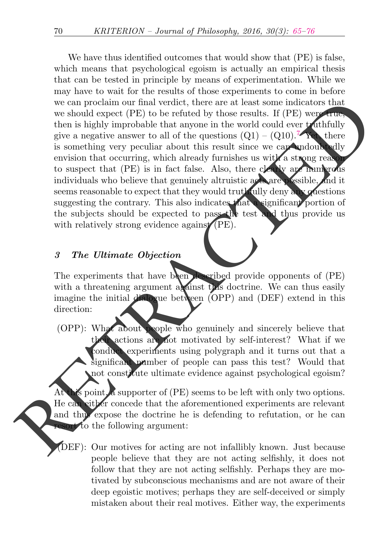We have thus identified outcomes that would show that (PE) is false, which means that psychological egoism is actually an empirical thesis that can be tested in principle by means of experimentation. While we may have to wait for the results of those experiments to come in before we can proclaim our final verdict, there are at least some indicators that we should expect (PE) to be refuted by those results. If (PE) were true, then is highly improbable that anyone in the world could ever truthfully give a negative answer to all of the questions  $(Q1) - (Q10)$ .<sup>7</sup> Yet, there is something very peculiar about this result since we can undoubtedly envision that occurring, which already furnishes us with a strong reason to suspect that (PE) is in fact false. Also, there clearly are numerous individuals who believe that genuinely altruistic acts are possible, and it seems reasonable to expect that they would truthfully deny any questions suggesting the contrary. This also indicates that a significant portion of the subjects should be expected to pass the test and thus provide us with relatively strong evidence against (PE). we can proclaim our final veride, there are at least some indicators that<br>the set of the set of the set of the set of the set of the set of the<br>set of the set of the set of the set of the set of the set of the set<br>of the

### <span id="page-6-0"></span>3 The Ultimate Objection

The experiments that have been described provide opponents of (PE) with a threatening argument against this doctrine. We can thus easily imagine the initial dialogue between (OPP) and (DEF) extend in this direction:

(OPP): What about people who genuinely and sincerely believe that actions are not motivated by self-interest? What if we conduct experiments using polygraph and it turns out that a significant number of people can pass this test? Would that not constitute ultimate evidence against psychological egoism?

s point, a supporter of  $(PE)$  seems to be left with only two options. He can either concede that the aforementioned experiments are relevant and thus expose the doctrine he is defending to refutation, or he can  $\overline{\text{crt}}$  to the following argument:

(DEF): Our motives for acting are not infallibly known. Just because people believe that they are not acting selfishly, it does not follow that they are not acting selfishly. Perhaps they are motivated by subconscious mechanisms and are not aware of their deep egoistic motives; perhaps they are self-deceived or simply mistaken about their real motives. Either way, the experiments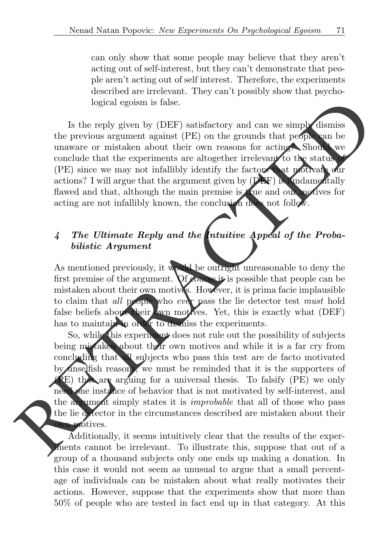can only show that some people may believe that they aren't acting out of self-interest, but they can't demonstrate that people aren't acting out of self interest. Therefore, the experiments described are irrelevant. They can't possibly show that psychological egoism is false.

Is the reply given by (DEF) satisfactory and can we simply dismiss the previous argument against (PE) on the grounds that people can be unaware or mistaken about their own reasons for acting? Should we conclude that the experiments are altogether irrelevant to the status (PE) since we may not infallibly identify the factors that motivate our actions? I will argue that the argument given by  $(DEF)$  is **K**ndamentally flawed and that, although the main premise is true and our motives for acting are not infallibly known, the conclusion does not follow.

# 4 The Ultimate Reply and the Intuitive Appeal of the Probabilistic Argument

As mentioned previously, it would be outright unreasonable to deny the first premise of the argument. Of course it is possible that people can be mistaken about their own motives. However, it is prima facie implausible to claim that all prople who ever pass the lie detector test must hold false beliefs about their wm motives. Yet, this is exactly what (DEF) has to maintain in order to dismiss the experiments.

So, while this experiment does not rule out the possibility of subjects being mistaken about their own motives and while it is a far cry from concluding that all subjects who pass this test are de facto motivated by anselfish reasons, we must be reminded that it is the supporters of (PE) that are arguing for a universal thesis. To falsify (PE) we only need one instance of behavior that is not motivated by self-interest, and the argument simply states it is *improbable* that all of those who pass the lie detector in the circumstances described are mistaken about their wn motives. logical egoism is false.<br>
Le the reply given by (DEF) satisfactory and can we simply dismiss<br>
the previous argument against (PE) once grounds that properties the conduct the correlation about their comparison of the corre

Additionally, it seems intuitively clear that the results of the experiments cannot be irrelevant. To illustrate this, suppose that out of a group of a thousand subjects only one ends up making a donation. In this case it would not seem as unusual to argue that a small percentage of individuals can be mistaken about what really motivates their actions. However, suppose that the experiments show that more than 50% of people who are tested in fact end up in that category. At this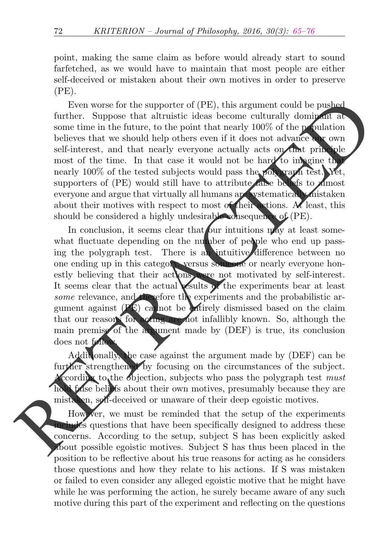point, making the same claim as before would already start to sound farfetched, as we would have to maintain that most people are either self-deceived or mistaken about their own motives in order to preserve  $(PE)$ .

Even worse for the supporter of (PE), this argument could be pushed further. Suppose that altruistic ideas become culturally dominant at some time in the future, to the point that nearly 100% of the population believes that we should help others even if it does not advance our own self-interest, and that nearly everyone actually acts on that principle most of the time. In that case it would not be hard to imagine that nearly 100% of the tested subjects would pass the polygraph test. Yet, supporters of (PE) would still have to attribute false beliefs to *almost* everyone and argue that virtually all humans are systematically mistaken about their motives with respect to most of their actions. At least, this should be considered a highly undesirable consequence of (PE). Even worse for the supporter of (PE), this argument could be pushed<br>further. Suppose that at<br>Italien is chosen equilibation defined as become culturally dominated as<br>some time the future, to the point that nearly 100% of

In conclusion, it seems clear that our intuitions  $\mathbf{m}_{\mathbf{a}}$  at least somewhat fluctuate depending on the number of people who end up passing the polygraph test. There is an intuitive difference between no one ending up in this category, versus someone or nearly everyone honestly believing that their actions were not motivated by self-interest. It seems clear that the actual vesults of the experiments bear at least some relevance, and therefore the experiments and the probabilistic argument against  $(PE)$  cannot be entirely dismissed based on the claim that our reasons for acting are not infallibly known. So, although the main premise of the argument made by (DEF) is true, its conclusion does not follow

Additionally, the case against the argument made by (DEF) can be further strengthened by focusing on the circumstances of the subject. According to the objection, subjects who pass the polygraph test must **h** false beliefs about their own motives, presumably because they are mistaken, self-deceived or unaware of their deep egoistic motives.

However, we must be reminded that the setup of the experiments includes questions that have been specifically designed to address these concerns. According to the setup, subject S has been explicitly asked about possible egoistic motives. Subject S has thus been placed in the position to be reflective about his true reasons for acting as he considers those questions and how they relate to his actions. If S was mistaken or failed to even consider any alleged egoistic motive that he might have while he was performing the action, he surely became aware of any such motive during this part of the experiment and reflecting on the questions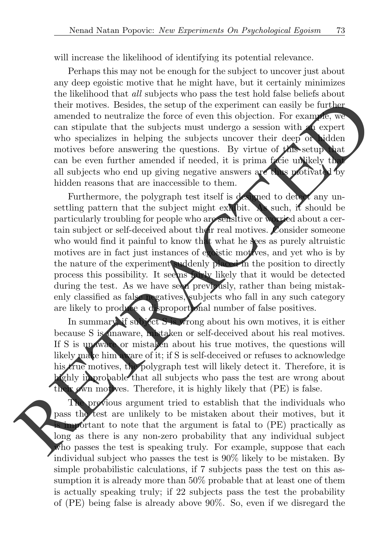will increase the likelihood of identifying its potential relevance.

Perhaps this may not be enough for the subject to uncover just about any deep egoistic motive that he might have, but it certainly minimizes the likelihood that all subjects who pass the test hold false beliefs about their motives. Besides, the setup of the experiment can easily be further amended to neutralize the force of even this objection. For example, we can stipulate that the subjects must undergo a session with an expert who specializes in helping the subjects uncover their deep or hidden motives before answering the questions. By virtue of this setup that can be even further amended if needed, it is prima facie unlikely that all subjects who end up giving negative answers are thus motivated by hidden reasons that are inaccessible to them.

Furthermore, the polygraph test itself is designed to detect any unsettling pattern that the subject might exhibit. As such, it should be particularly troubling for people who are sensitive or worried about a certain subject or self-deceived about their real motives. Consider someone who would find it painful to know that what he sees as purely altruistic motives are in fact just instances of egoistic motives, and yet who is by the nature of the experiment suddenly placed in the position to directly process this possibility. It seems fairly likely that it would be detected during the test. As we have seen previously, rather than being mistakenly classified as false negatives, subjects who fall in any such category are likely to produce a disproportional number of false positives. their motives. Besides, the setup of the experiment can easily be further anned<br>do neutralize the force of even this objection. For example, we<br>can stipulate that the subjects must undegro a session with a expert<br>who spec

In summary, if subject S is wrong about his own motives, it is either because S is unaware, mistaken or self-deceived about his real motives. If S is unaware or mistaken about his true motives, the questions will likely make him aware of it; if S is self-deceived or refuses to acknowledge his true motives, the polygraph test will likely detect it. Therefore, it is highly improbable that all subjects who pass the test are wrong about  $\mathbf{t}$  own motives. Therefore, it is highly likely that (PE) is false.

The previous argument tried to establish that the individuals who pass the test are unlikely to be mistaken about their motives, but it important to note that the argument is fatal to (PE) practically as long as there is any non-zero probability that any individual subject who passes the test is speaking truly. For example, suppose that each individual subject who passes the test is 90% likely to be mistaken. By simple probabilistic calculations, if 7 subjects pass the test on this assumption it is already more than 50% probable that at least one of them is actually speaking truly; if 22 subjects pass the test the probability of (PE) being false is already above 90%. So, even if we disregard the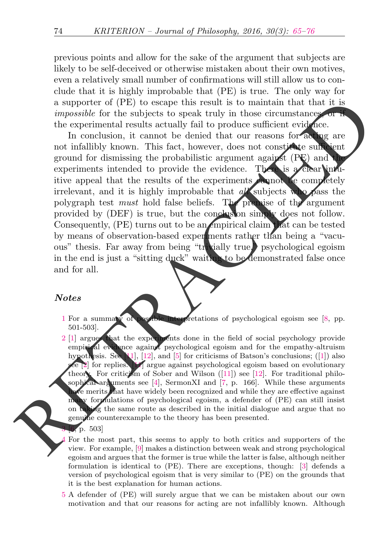previous points and allow for the sake of the argument that subjects are likely to be self-deceived or otherwise mistaken about their own motives, even a relatively small number of confirmations will still allow us to conclude that it is highly improbable that (PE) is true. The only way for a supporter of (PE) to escape this result is to maintain that that it is impossible for the subjects to speak truly in those circumstances or if the experimental results actually fail to produce sufficient evidence.

In conclusion, it cannot be denied that our reasons for acting are not infallibly known. This fact, however, does not constitute sufficient ground for dismissing the probabilistic argument against  $(PE)$  and experiments intended to provide the evidence. There is a clear intuitive appeal that the results of the experiments cannot be completely irrelevant, and it is highly improbable that  $a\mathcal{U}$  subjects who pass the polygraph test *must* hold false beliefs. The premise of the argument provided by (DEF) is true, but the conclusion simply does not follow. Consequently,  $(PE)$  turns out to be an empirical claim that can be tested by means of observation-based experiments rather than being a "vacuous" thesis. Far away from being "trivially true," psychological egoism in the end is just a "sitting duck" waiting to be demonstrated false once and for all. a support of (F[E](#page-11-4)) to escape this result is to maintain that that the signals<br>de for the subjects to speak truly in those circumstances in exchange the<br>contentratal results actually fail to produce sufficient evidence. In

#### **Notes**

- <span id="page-10-0"></span>1 For a summary of possible interpretations of psychological egoism see [\[8,](#page-12-0) pp. 501-503].
- <span id="page-10-1"></span>2 [\[1\]](#page-11-3) argues that the experiments done in the field of social psychology provide empirical evidence against psychological egoism and for the empathy-altruism hypothesis. See [\[11\]](#page-12-1), [\[12\]](#page-12-2), and [\[5\]](#page-12-3) for criticisms of Batson's conclusions;  $([1])$  $([1])$  $([1])$  also see [2] for replies. [11] argue against psychological egoism based on evolutionary theory. For criticism of Sober and Wilson  $([11])$  $([11])$  $([11])$  see  $[12]$ . For traditional philosophical arguments see [4], SermonXI and [7, p. 166]. While these arguments ave merits that have widely been recognized and while they are effective against many formulations of psychological egoism, a defender of (PE) can still insist ing the same route as described in the initial dialogue and argue that no genuine counterexample to the theory has been presented.
	- $, p. 503$
	- 4 For the most part, this seems to apply to both critics and supporters of the view. For example, [9] makes a distinction between weak and strong psychological egoism and argues that the former is true while the latter is false, although neither formulation is identical to (PE). There are exceptions, though: [\[3\]](#page-12-8) defends a version of psychological egoism that is very similar to (PE) on the grounds that it is the best explanation for human actions.
- <span id="page-10-4"></span><span id="page-10-3"></span><span id="page-10-2"></span>[5](#page-5-0) A defender of (PE) will surely argue that we can be mistaken about our own motivation and that our reasons for acting are not infallibly known. Although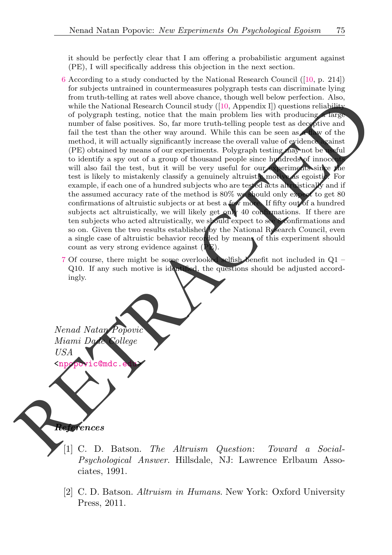<span id="page-11-1"></span>it should be perfectly clear that I am offering a probabilistic argument against (PE), I will specifically address this objection in the next section.

- [6](#page-5-1) According to a study conducted by the National Research Council ([\[10,](#page-12-9) p. 214]) for subjects untrained in countermeasures polygraph tests can discriminate lying from truth-telling at rates well above chance, though well below perfection. Also, while the National Research Council study  $([10, \text{Appendix I}])$  $([10, \text{Appendix I}])$  $([10, \text{Appendix I}])$  questions reliability of polygraph testing, notice that the main problem lies with producing a large number of false positives. So, far more truth-telling people test as deceptive and fail the test than the other way around. While this can be seen as **a flaw** of the method, it will actually significantly increase the overall value of evidence against (PE) obtained by means of our experiments. Polygraph testing may not be useful to identify a spy out of a group of thousand people since hundreds of innocents will also fail the test, but it will be very useful for our experiments since the test is likely to mistakenly classify a genuinely altruistic motive as egoistic. For example, if each one of a hundred subjects who are tested acts alternistically and if the assumed accuracy rate of the method is 80% we should only expect to get 80 confirmations of altruistic subjects or at best a few more. If fifty out of a hundred subjects act altruistically, we will likely get only 40 confirmations. If there are ten subjects who acted altruistically, we should expect to see 8 confirmations and so on. Given the two results established by the National Research Council, even a single case of altruistic behavior recorded by means of this experiment should count as very strong evidence against  $(P<sub>E</sub>)$ . mont and the method in the search and the search of the main properties that the search and the search and the search and the search and the search and the search and the search and the search and the search and the searc
	- 7 Of course, there might be some overlooked selfish benefit not included in Q1 Q10. If any such motive is identified, the questions should be adjusted accordingly.

<span id="page-11-2"></span>Nenad Natan Popovic Miami Dade College USA c@md

<span id="page-11-0"></span>References

- <span id="page-11-3"></span>[1] C. D. Batson. The Altruism Question: Toward a Social-Psychological Answer. Hillsdale, NJ: Lawrence Erlbaum Associates, 1991.
- <span id="page-11-4"></span>[2] C. D. Batson. Altruism in Humans. New York: Oxford University Press, 2011.